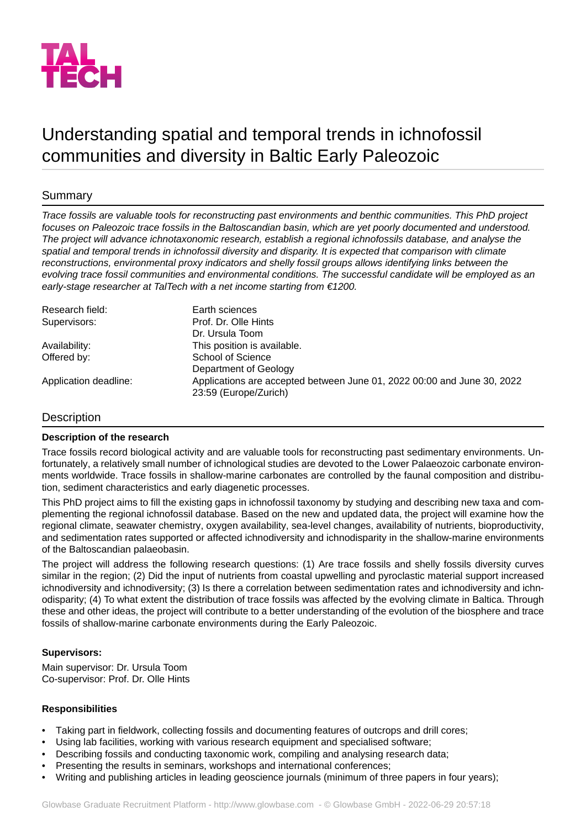

# Understanding spatial and temporal trends in ichnofossil communities and diversity in Baltic Early Paleozoic

## **Summary**

*Trace fossils are valuable tools for reconstructing past environments and benthic communities. This PhD project focuses on Paleozoic trace fossils in the Baltoscandian basin, which are yet poorly documented and understood. The project will advance ichnotaxonomic research, establish a regional ichnofossils database, and analyse the spatial and temporal trends in ichnofossil diversity and disparity. It is expected that comparison with climate reconstructions, environmental proxy indicators and shelly fossil groups allows identifying links between the evolving trace fossil communities and environmental conditions. The successful candidate will be employed as an early-stage researcher at TalTech with a net income starting from €1200.*

| Research field:       | Earth sciences                                                                                   |
|-----------------------|--------------------------------------------------------------------------------------------------|
| Supervisors:          | Prof. Dr. Olle Hints                                                                             |
|                       | Dr. Ursula Toom                                                                                  |
| Availability:         | This position is available.                                                                      |
| Offered by:           | School of Science                                                                                |
|                       | Department of Geology                                                                            |
| Application deadline: | Applications are accepted between June 01, 2022 00:00 and June 30, 2022<br>23:59 (Europe/Zurich) |

### Description

### **Description of the research**

Trace fossils record biological activity and are valuable tools for reconstructing past sedimentary environments. Unfortunately, a relatively small number of ichnological studies are devoted to the Lower Palaeozoic carbonate environments worldwide. Trace fossils in shallow-marine carbonates are controlled by the faunal composition and distribution, sediment characteristics and early diagenetic processes.

This PhD project aims to fill the existing gaps in ichnofossil taxonomy by studying and describing new taxa and complementing the regional ichnofossil database. Based on the new and updated data, the project will examine how the regional climate, seawater chemistry, oxygen availability, sea-level changes, availability of nutrients, bioproductivity, and sedimentation rates supported or affected ichnodiversity and ichnodisparity in the shallow-marine environments of the Baltoscandian palaeobasin.

The project will address the following research questions: (1) Are trace fossils and shelly fossils diversity curves similar in the region; (2) Did the input of nutrients from coastal upwelling and pyroclastic material support increased ichnodiversity and ichnodiversity; (3) Is there a correlation between sedimentation rates and ichnodiversity and ichnodisparity; (4) To what extent the distribution of trace fossils was affected by the evolving climate in Baltica. Through these and other ideas, the project will contribute to a better understanding of the evolution of the biosphere and trace fossils of shallow-marine carbonate environments during the Early Paleozoic.

### **Supervisors:**

Main supervisor: Dr. Ursula Toom Co-supervisor: Prof. Dr. Olle Hints

### **Responsibilities**

- Taking part in fieldwork, collecting fossils and documenting features of outcrops and drill cores;
- Using lab facilities, working with various research equipment and specialised software;
- Describing fossils and conducting taxonomic work, compiling and analysing research data;
- Presenting the results in seminars, workshops and international conferences;
- Writing and publishing articles in leading geoscience journals (minimum of three papers in four years);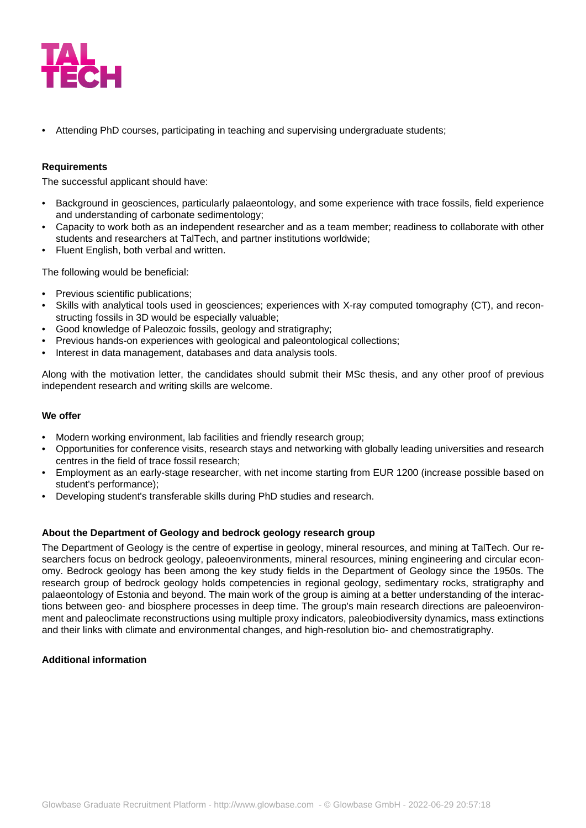

• Attending PhD courses, participating in teaching and supervising undergraduate students;

### **Requirements**

The successful applicant should have:

- Background in geosciences, particularly palaeontology, and some experience with trace fossils, field experience and understanding of carbonate sedimentology;
- Capacity to work both as an independent researcher and as a team member; readiness to collaborate with other students and researchers at TalTech, and partner institutions worldwide;
- Fluent English, both verbal and written.

The following would be beneficial:

- Previous scientific publications;
- Skills with analytical tools used in geosciences; experiences with X-ray computed tomography (CT), and reconstructing fossils in 3D would be especially valuable;
- Good knowledge of Paleozoic fossils, geology and stratigraphy;
- Previous hands-on experiences with geological and paleontological collections;
- Interest in data management, databases and data analysis tools.

Along with the motivation letter, the candidates should submit their MSc thesis, and any other proof of previous independent research and writing skills are welcome.

#### **We offer**

- Modern working environment, lab facilities and friendly research group;
- Opportunities for conference visits, research stays and networking with globally leading universities and research centres in the field of trace fossil research;
- Employment as an early-stage researcher, with net income starting from EUR 1200 (increase possible based on student's performance);
- Developing student's transferable skills during PhD studies and research.

### **About the Department of Geology and bedrock geology research group**

The Department of Geology is the centre of expertise in geology, mineral resources, and mining at TalTech. Our researchers focus on bedrock geology, paleoenvironments, mineral resources, mining engineering and circular economy. Bedrock geology has been among the key study fields in the Department of Geology since the 1950s. The research group of bedrock geology holds competencies in regional geology, sedimentary rocks, stratigraphy and palaeontology of Estonia and beyond. The main work of the group is aiming at a better understanding of the interactions between geo- and biosphere processes in deep time. The group's main research directions are paleoenvironment and paleoclimate reconstructions using multiple proxy indicators, paleobiodiversity dynamics, mass extinctions and their links with climate and environmental changes, and high-resolution bio- and chemostratigraphy.

### **Additional information**